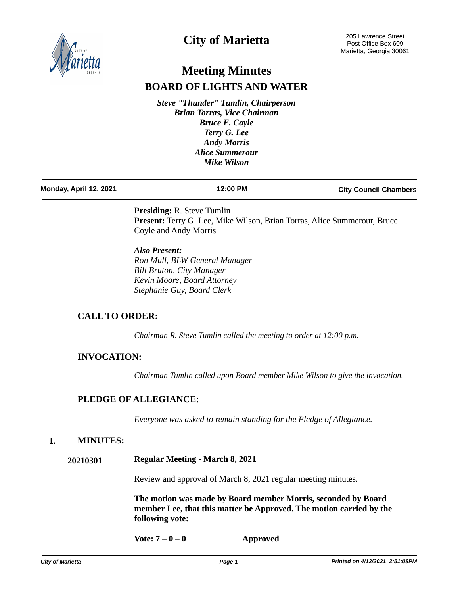

# **City of Marietta**

# **Meeting Minutes BOARD OF LIGHTS AND WATER**

*Steve "Thunder" Tumlin, Chairperson Brian Torras, Vice Chairman Bruce E. Coyle Terry G. Lee Andy Morris Alice Summerour Mike Wilson*

| Monday, April 12, 2021 | 12:00 PM | <b>City Council Chambers</b> |
|------------------------|----------|------------------------------|
|                        |          |                              |

**Presiding:** R. Steve Tumlin **Present:** Terry G. Lee, Mike Wilson, Brian Torras, Alice Summerour, Bruce Coyle and Andy Morris

*Also Present: Ron Mull, BLW General Manager Bill Bruton, City Manager Kevin Moore, Board Attorney Stephanie Guy, Board Clerk*

# **CALL TO ORDER:**

*Chairman R. Steve Tumlin called the meeting to order at 12:00 p.m.*

# **INVOCATION:**

*Chairman Tumlin called upon Board member Mike Wilson to give the invocation.*

# **PLEDGE OF ALLEGIANCE:**

*Everyone was asked to remain standing for the Pledge of Allegiance.*

# **I. MINUTES:**

**20210301 Regular Meeting - March 8, 2021**

Review and approval of March 8, 2021 regular meeting minutes.

**The motion was made by Board member Morris, seconded by Board member Lee, that this matter be Approved. The motion carried by the following vote:**

**Vote: 7 – 0 – 0 Approved**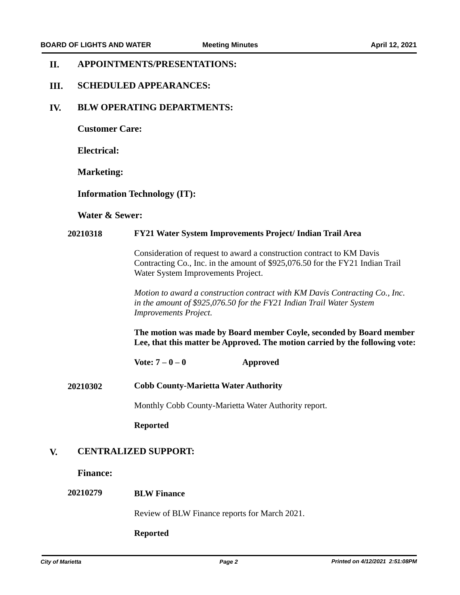#### **APPOINTMENTS/PRESENTATIONS: II.**

#### **SCHEDULED APPEARANCES: III.**

#### **BLW OPERATING DEPARTMENTS: IV.**

**Customer Care:**

**Electrical:**

**Marketing:**

### **Information Technology (IT):**

# **Water & Sewer:**

### **20210318 FY21 Water System Improvements Project/ Indian Trail Area**

Consideration of request to award a construction contract to KM Davis Contracting Co., Inc. in the amount of \$925,076.50 for the FY21 Indian Trail Water System Improvements Project.

*Motion to award a construction contract with KM Davis Contracting Co., Inc. in the amount of \$925,076.50 for the FY21 Indian Trail Water System Improvements Project.*

**The motion was made by Board member Coyle, seconded by Board member Lee, that this matter be Approved. The motion carried by the following vote:**

**Vote: 7 – 0 – 0 Approved**

**20210302 Cobb County-Marietta Water Authority**

Monthly Cobb County-Marietta Water Authority report.

**Reported**

#### **CENTRALIZED SUPPORT: V.**

**Finance:**

# **20210279 BLW Finance**

Review of BLW Finance reports for March 2021.

### **Reported**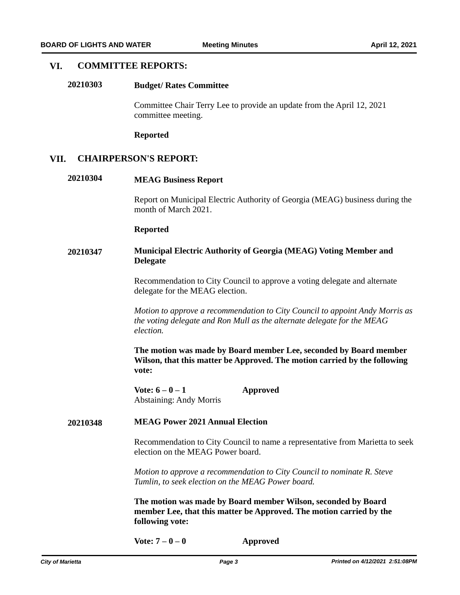## **VI. COMMITTEE REPORTS:**

#### **20210303 Budget/ Rates Committee**

Committee Chair Terry Lee to provide an update from the April 12, 2021 committee meeting.

#### **Reported**

## **VII. CHAIRPERSON'S REPORT:**

**20210304 MEAG Business Report**

Report on Municipal Electric Authority of Georgia (MEAG) business during the month of March 2021.

#### **Reported**

## **20210347 Municipal Electric Authority of Georgia (MEAG) Voting Member and Delegate**

Recommendation to City Council to approve a voting delegate and alternate delegate for the MEAG election.

*Motion to approve a recommendation to City Council to appoint Andy Morris as the voting delegate and Ron Mull as the alternate delegate for the MEAG election.*

**The motion was made by Board member Lee, seconded by Board member Wilson, that this matter be Approved. The motion carried by the following vote:**

**Vote: 6 – 0 – 1 Approved** Abstaining: Andy Morris

### **20210348 MEAG Power 2021 Annual Election**

Recommendation to City Council to name a representative from Marietta to seek election on the MEAG Power board.

*Motion to approve a recommendation to City Council to nominate R. Steve Tumlin, to seek election on the MEAG Power board.*

**The motion was made by Board member Wilson, seconded by Board member Lee, that this matter be Approved. The motion carried by the following vote:**

**Vote: 7 – 0 – 0 Approved**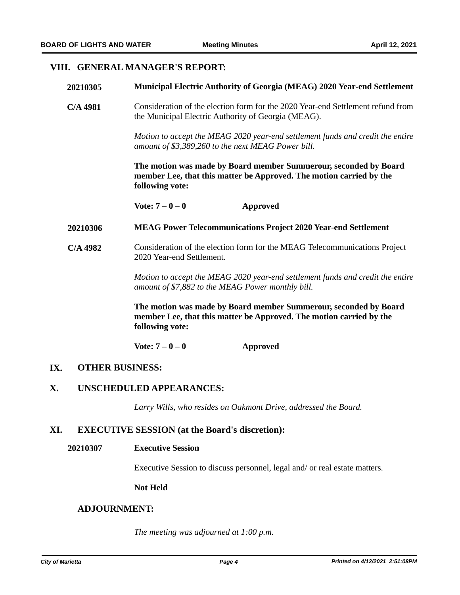# **VIII. GENERAL MANAGER'S REPORT:**

|     | 20210305                        | Municipal Electric Authority of Georgia (MEAG) 2020 Year-end Settlement                                                                                    |  |
|-----|---------------------------------|------------------------------------------------------------------------------------------------------------------------------------------------------------|--|
|     | $C/A$ 4981                      | Consideration of the election form for the 2020 Year-end Settlement refund from<br>the Municipal Electric Authority of Georgia (MEAG).                     |  |
|     |                                 | Motion to accept the MEAG 2020 year-end settlement funds and credit the entire<br>amount of \$3,389,260 to the next MEAG Power bill.                       |  |
|     |                                 | The motion was made by Board member Summerour, seconded by Board<br>member Lee, that this matter be Approved. The motion carried by the<br>following vote: |  |
|     |                                 | Vote: $7 - 0 - 0$<br><b>Approved</b>                                                                                                                       |  |
|     | 20210306                        | <b>MEAG Power Telecommunications Project 2020 Year-end Settlement</b>                                                                                      |  |
|     | $C/A$ 4982                      | Consideration of the election form for the MEAG Telecommunications Project<br>2020 Year-end Settlement.                                                    |  |
|     |                                 | Motion to accept the MEAG 2020 year-end settlement funds and credit the entire<br>amount of \$7,882 to the MEAG Power monthly bill.                        |  |
|     |                                 | The motion was made by Board member Summerour, seconded by Board<br>member Lee, that this matter be Approved. The motion carried by the<br>following vote: |  |
|     |                                 | Vote: $7 - 0 - 0$<br>Approved                                                                                                                              |  |
| IX. | <b>OTHER BUSINESS:</b>          |                                                                                                                                                            |  |
| X.  | <b>UNSCHEDULED APPEARANCES:</b> |                                                                                                                                                            |  |
|     |                                 | Larry Wills, who resides on Oakmont Drive, addressed the Board.                                                                                            |  |
| XI. |                                 | <b>EXECUTIVE SESSION</b> (at the Board's discretion):                                                                                                      |  |

**20210307 Executive Session**

Executive Session to discuss personnel, legal and/ or real estate matters.

**Not Held**

# **ADJOURNMENT:**

*The meeting was adjourned at 1:00 p.m.*